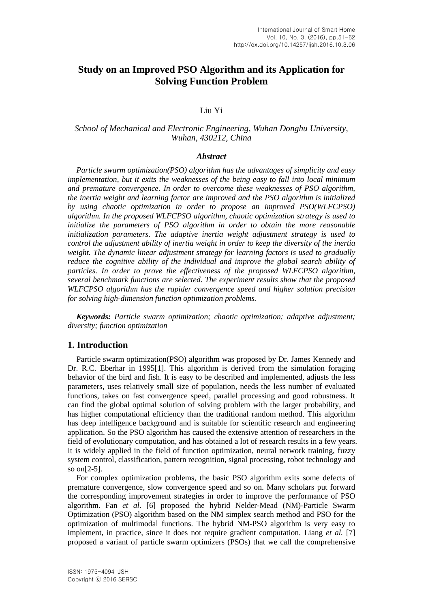# **Study on an Improved PSO Algorithm and its Application for Solving Function Problem**

## Liu Yi

## *School of Mechanical and Electronic Engineering, Wuhan Donghu University, Wuhan, 430212, China*

### *Abstract*

*Particle swarm optimization(PSO) algorithm has the advantages of simplicity and easy implementation, but it exits the weaknesses of the being easy to fall into local minimum and premature convergence. In order to overcome these weaknesses of PSO algorithm, the inertia weight and learning factor are improved and the PSO algorithm is initialized by using chaotic optimization in order to propose an improved PSO(WLFCPSO) algorithm. In the proposed WLFCPSO algorithm, chaotic optimization strategy is used to initialize the parameters of PSO algorithm in order to obtain the more reasonable initialization parameters. The adaptive inertia weight adjustment strategy is used to control the adjustment ability of inertia weight in order to keep the diversity of the inertia weight. The dynamic linear adjustment strategy for learning factors is used to gradually reduce the cognitive ability of the individual and improve the global search ability of particles. In order to prove the effectiveness of the proposed WLFCPSO algorithm, several benchmark functions are selected. The experiment results show that the proposed WLFCPSO algorithm has the rapider convergence speed and higher solution precision for solving high-dimension function optimization problems.*

*Keywords: Particle swarm optimization; chaotic optimization; adaptive adjustment; diversity; function optimization*

## **1. Introduction**

Particle swarm optimization(PSO) algorithm was proposed by Dr. James Kennedy and Dr. R.C. Eberhar in 1995[1]. This algorithm is derived from the simulation foraging behavior of the bird and fish. It is easy to be described and implemented, adjusts the less parameters, uses relatively small size of population, needs the less number of evaluated functions, takes on fast convergence speed, parallel processing and good robustness. It can find the global optimal solution of solving problem with the larger probability, and has higher computational efficiency than the traditional random method. This algorithm has deep intelligence background and is suitable for scientific research and engineering application. So the PSO algorithm has caused the extensive attention of researchers in the field of evolutionary computation, and has obtained a lot of research results in a few years. It is widely applied in the field of function optimization, neural network training, fuzzy system control, classification, pattern recognition, signal processing, robot technology and so on[2-5].

For complex optimization problems, the basic PSO algorithm exits some defects of premature convergence, slow convergence speed and so on. Many scholars put forward the corresponding improvement strategies in order to improve the performance of PSO algorithm. Fan *et al*. [6] proposed the hybrid Nelder-Mead (NM)-Particle Swarm Optimization (PSO) algorithm based on the NM simplex search method and PSO for the optimization of multimodal functions. The hybrid NM-PSO algorithm is very easy to implement, in practice, since it does not require gradient computation. Liang *et al.* [7] proposed a variant of particle swarm optimizers (PSOs) that we call the comprehensive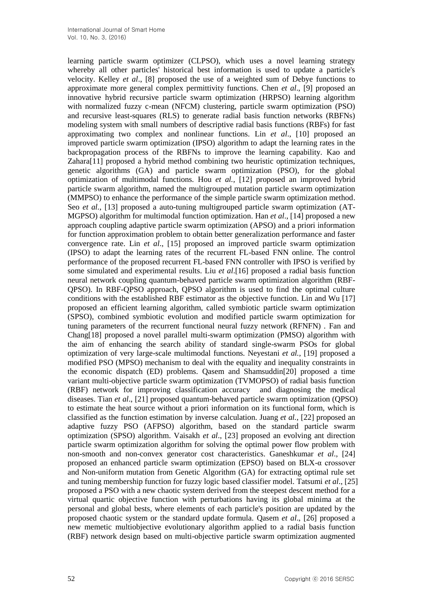learning particle swarm optimizer (CLPSO), which uses a novel learning strategy whereby all other particles' historical best information is used to update a particle's velocity. Kelley *et al*., [8] proposed the use of a weighted sum of Debye functions to approximate more general complex permittivity functions. Chen *et al*., [9] proposed an innovative hybrid recursive particle swarm optimization (HRPSO) learning algorithm with normalized fuzzy c-mean (NFCM) clustering, particle swarm optimization (PSO) and recursive least-squares (RLS) to generate radial basis function networks (RBFNs) modeling system with small numbers of descriptive radial basis functions (RBFs) for fast approximating two complex and nonlinear functions. Lin *et al*., [10] proposed an improved particle swarm optimization (IPSO) algorithm to adapt the learning rates in the backpropagation process of the RBFNs to improve the learning capability. Kao and Zahara[11] proposed a hybrid method combining two heuristic optimization techniques, genetic algorithms (GA) and particle swarm optimization (PSO), for the global optimization of multimodal functions. Hou *et al.,* [12] proposed an improved hybrid particle swarm algorithm, named the multigrouped mutation particle swarm optimization (MMPSO) to enhance the performance of the simple particle swarm optimization method. Seo *et al.*, [13] proposed a auto-tuning multigrouped particle swarm optimization (AT-MGPSO) algorithm for multimodal function optimization. Han *et al*., [14] proposed a new approach coupling adaptive particle swarm optimization (APSO) and a priori information for function approximation problem to obtain better generalization performance and faster convergence rate. Lin *et al*., [15] proposed an improved particle swarm optimization (IPSO) to adapt the learning rates of the recurrent FL-based FNN online. The control performance of the proposed recurrent FL-based FNN controller with IPSO is verified by some simulated and experimental results. Liu *et al*.[16] proposed a radial basis function neural network coupling quantum-behaved particle swarm optimization algorithm (RBF-QPSO). In RBF-QPSO approach, QPSO algorithm is used to find the optimal culture conditions with the established RBF estimator as the objective function. Lin and Wu [17] proposed an efficient learning algorithm, called symbiotic particle swarm optimization (SPSO), combined symbiotic evolution and modified particle swarm optimization for tuning parameters of the recurrent functional neural fuzzy network (RFNFN) . Fan and Chang[18] proposed a novel parallel multi-swarm optimization (PMSO) algorithm with the aim of enhancing the search ability of standard single-swarm PSOs for global optimization of very large-scale multimodal functions. Neyestani *et al.,* [19] proposed a modified PSO (MPSO) mechanism to deal with the equality and inequality constraints in the economic dispatch (ED) problems. Qasem and Shamsuddin[20] proposed a time variant multi-objective particle swarm optimization (TVMOPSO) of radial basis function (RBF) network for improving classification accuracy and diagnosing the medical diseases. Tian *et al*., [21] proposed quantum-behaved particle swarm optimization (QPSO) to estimate the heat source without a priori information on its functional form, which is classified as the function estimation by inverse calculation. Juang *et al.*, [22] proposed an adaptive fuzzy PSO (AFPSO) algorithm, based on the standard particle swarm optimization (SPSO) algorithm. Vaisakh *et al*., [23] proposed an evolving ant direction particle swarm optimization algorithm for solving the optimal power flow problem with non-smooth and non-convex generator cost characteristics. Ganeshkumar *et al*., [24] proposed an enhanced particle swarm optimization (EPSO) based on BLX-α crossover and Non-uniform mutation from Genetic Algorithm (GA) for extracting optimal rule set and tuning membership function for fuzzy logic based classifier model. Tatsumi *et al*., [25] proposed a PSO with a new chaotic system derived from the steepest descent method for a virtual quartic objective function with perturbations having its global minima at the personal and global bests, where elements of each particle's position are updated by the proposed chaotic system or the standard update formula. Qasem *et al*., [26] proposed a new memetic multiobjective evolutionary algorithm applied to a radial basis function (RBF) network design based on multi-objective particle swarm optimization augmented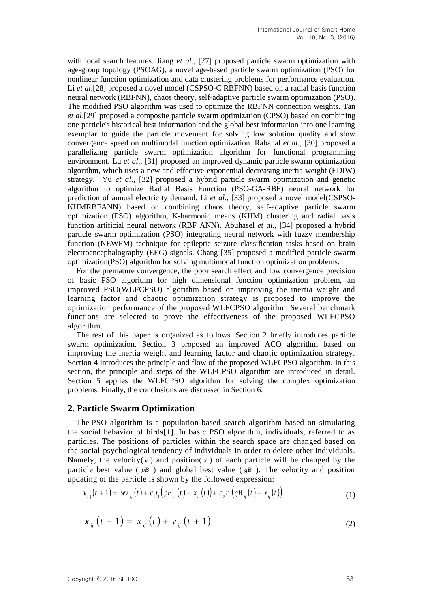with local search features. Jiang *et al*., [27] proposed particle swarm optimization with age-group topology (PSOAG), a novel age-based particle swarm optimization (PSO) for nonlinear function optimization and data clustering problems for performance evaluation. Li *et al.*[28] proposed a novel model (CSPSO-C RBFNN) based on a radial basis function neural network (RBFNN), chaos theory, self-adaptive particle swarm optimization (PSO). The modified PSO algorithm was used to optimize the RBFNN connection weights. Tan *et al*.[29] proposed a composite particle swarm optimization (CPSO) based on combining one particle's historical best information and the global best information into one learning exemplar to guide the particle movement for solving low solution quality and slow convergence speed on multimodal function optimization. Rabanal *et al.,* [30] proposed a parallelizing particle swarm optimization algorithm for functional programming environment. Lu *et al*., [31] proposed an improved dynamic particle swarm optimization algorithm, which uses a new and effective exponential decreasing inertia weight (EDIW) strategy. Yu *et al*., [32] proposed a hybrid particle swarm optimization and genetic algorithm to optimize Radial Basis Function (PSO-GA-RBF) neural network for prediction of annual electricity demand. Li *et al*., [33] proposed a novel model(CSPSO-KHMRBFANN) based on combining chaos theory, self-adaptive particle swarm optimization (PSO) algorithm, K-harmonic means (KHM) clustering and radial basis function artificial neural network (RBF ANN). Abuhasel *et al.,* [34] proposed a hybrid particle swarm optimization (PSO) integrating neural network with fuzzy membership function (NEWFM) technique for epileptic seizure classification tasks based on brain electroencephalography (EEG) signals. Chang [35] proposed a modified particle swarm optimization(PSO) algorithm for solving multimodal function optimization problems.

For the premature convergence, the poor search effect and low convergence precision of basic PSO algorithm for high dimensional function optimization problem, an improved PSO(WLFCPSO) algorithm based on improving the inertia weight and learning factor and chaotic optimization strategy is proposed to improve the optimization performance of the proposed WLFCPSO algorithm. Several benchmark functions are selected to prove the effectiveness of the proposed WLFCPSO algorithm.

The rest of this paper is organized as follows. Section 2 briefly introduces particle swarm optimization. Section 3 proposed an improved ACO algorithm based on improving the inertia weight and learning factor and chaotic optimization strategy. Section 4 introduces the principle and flow of the proposed WLFCPSO algorithm. In this section, the principle and steps of the WLFCPSO algorithm are introduced in detail. Section 5 applies the WLFCPSO algorithm for solving the complex optimization problems. Finally, the conclusions are discussed in Section 6.

## **2. Particle Swarm Optimization**

The PSO algorithm is a population-based search algorithm based on simulating the social behavior of birds[1]. In basic PSO algorithm, individuals, referred to as particles. The positions of particles within the search space are changed based on the social-psychological tendency of individuals in order to delete other individuals. Namely, the velocity( $v$ ) and position( $x$ ) of each particle will be changed by the particle best value ( $pB$ ) and global best value ( $gB$ ). The velocity and position updating of the particle is shown by the followed expression:

$$
v_{ij}(t+1) = w v_{ij}(t) + c_1 r_1 (p B_{ij}(t) - x_{ij}(t)) + c_2 r_2 (g B_{ij}(t) - x_{ij}(t))
$$
\n(1)

$$
x_{ij}(t+1) = x_{ij}(t) + v_{ij}(t+1)
$$
 (2)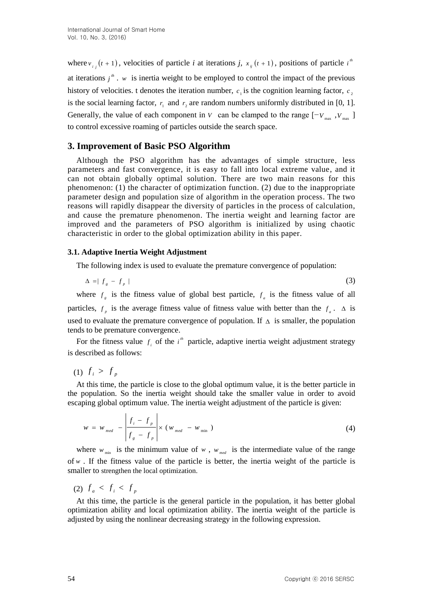where  $v_{i}$   $(t + 1)$ , velocities of particle *i* at iterations *j*,  $x_{ij}$   $(t + 1)$ , positions of particle *i*<sup>th</sup> at iterations  $j^m$ . *w* is inertia weight to be employed to control the impact of the previous history of velocities. t denotes the iteration number,  $c_1$  is the cognition learning factor,  $c_2$ is the social learning factor,  $r_1$  and  $r_2$  are random numbers uniformly distributed in [0, 1]. Generally, the value of each component in *V* can be clamped to the range  $[-V_{max}, V_{max}]$ to control excessive roaming of particles outside the search space.

## **3. Improvement of Basic PSO Algorithm**

Although the PSO algorithm has the advantages of simple structure, less parameters and fast convergence, it is easy to fall into local extreme value, and it can not obtain globally optimal solution. There are two main reasons for this phenomenon: (1) the character of optimization function. (2) due to the inappropriate parameter design and population size of algorithm in the operation process. The two reasons will rapidly disappear the diversity of particles in the process of calculation, and cause the premature phenomenon. The inertia weight and learning factor are improved and the parameters of PSO algorithm is initialized by using chaotic characteristic in order to the global optimization ability in this paper.

### **3.1. Adaptive Inertia Weight Adjustment**

The following index is used to evaluate the premature convergence of population:

$$
\Delta = |f_g - f_p| \tag{3}
$$

where  $f<sub>g</sub>$  is the fitness value of global best particle,  $f<sub>a</sub>$  is the fitness value of all particles,  $f_p$  is the average fitness value of fitness value with better than the  $f_a$ .  $\Delta$  is used to evaluate the premature convergence of population. If  $\Delta$  is smaller, the population tends to be premature convergence.

For the fitness value  $f_i$  of the  $i^h$  particle, adaptive inertia weight adjustment strategy is described as follows:

(1)  $f_i > f_p$ 

At this time, the particle is close to the global optimum value, it is the better particle in the population. So the inertia weight should take the smaller value in order to avoid escaping global optimum value. The inertia weight adjustment of the particle is given:

$$
w = w_{med} - \left| \frac{f_i - f_p}{f_g - f_p} \right| \times (w_{med} - w_{min})
$$
 (4)

where  $w_{min}$  is the minimum value of  $w$ ,  $w_{med}$  is the intermediate value of the range of  $w$ . If the fitness value of the particle is better, the inertia weight of the particle is smaller to strengthen the local optimization.

(2)  $f_a < f_i < f_p$ 

At this time, the particle is the general particle in the population, it has better global optimization ability and local optimization ability. The inertia weight of the particle is adjusted by using the nonlinear decreasing strategy in the following expression.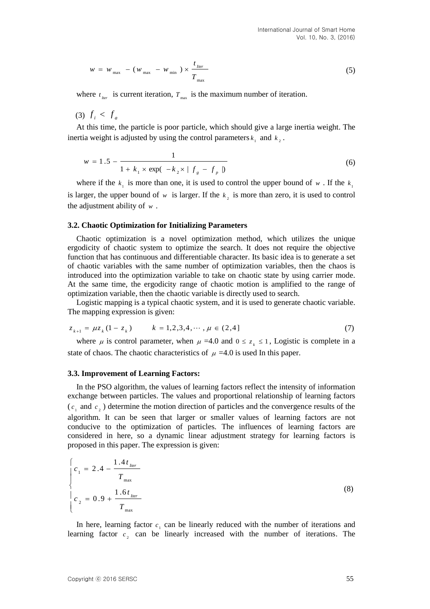$$
w = w_{\text{max}} - (w_{\text{max}} - w_{\text{min}}) \times \frac{t_{\text{I}ter}}{T_{\text{max}}} \tag{5}
$$

where  $t_{\text{iter}}$  is current iteration,  $T_{\text{max}}$  is the maximum number of iteration.

(3)  $f_i < f_a$ 

At this time, the particle is poor particle, which should give a large inertia weight. The inertia weight is adjusted by using the control parameters  $k_1$  and  $k_2$ .

$$
w = 1.5 - \frac{1}{1 + k_1 \times \exp(-k_2 \times |f_g - f_p|)}
$$
(6)

where if the  $k_1$  is more than one, it is used to control the upper bound of w. If the  $k_1$ is larger, the upper bound of  $w$  is larger. If the  $k<sub>2</sub>$  is more than zero, it is used to control the adjustment ability of *w* .

#### **3.2. Chaotic Optimization for Initializing Parameters**

Chaotic optimization is a novel optimization method, which utilizes the unique ergodicity of chaotic system to optimize the search. It does not require the objective function that has continuous and differentiable character. Its basic idea is to generate a set of chaotic variables with the same number of optimization variables, then the chaos is introduced into the optimization variable to take on chaotic state by using carrier mode. At the same time, the ergodicity range of chaotic motion is amplified to the range of optimization variable, then the chaotic variable is directly used to search.

Logistic mapping is a typical chaotic system, and it is used to generate chaotic variable. The mapping expression is given:

$$
z_{k+1} = \mu z_k (1 - z_k) \qquad k = 1, 2, 3, 4, \cdots, \mu \in (2, 4]
$$
 (7)

where  $\mu$  is control parameter, when  $\mu = 4.0$  and  $0 \le z_k \le 1$ , Logistic is complete in a state of chaos. The chaotic characteristics of  $\mu = 4.0$  is used In this paper.

#### **3.3. Improvement of Learning Factors:**

In the PSO algorithm, the values of learning factors reflect the intensity of information exchange between particles. The values and proportional relationship of learning factors  $(c_1 \text{ and } c_2)$  determine the motion direction of particles and the convergence results of the algorithm. It can be seen that larger or smaller values of learning factors are not conducive to the optimization of particles. The influences of learning factors are considered in here, so a dynamic linear adjustment strategy for learning factors is proposed in this paper. The expression is given:

$$
\begin{cases}\nc_1 = 2.4 - \frac{1.4t_{\text{Iter}}}{T_{\text{max}}}\nc_2 = 0.9 + \frac{1.6t_{\text{Iter}}}{T_{\text{max}}}\n\end{cases}
$$
\n(8)

In here, learning factor  $c_1$  can be linearly reduced with the number of iterations and learning factor  $c_2$  can be linearly increased with the number of iterations. The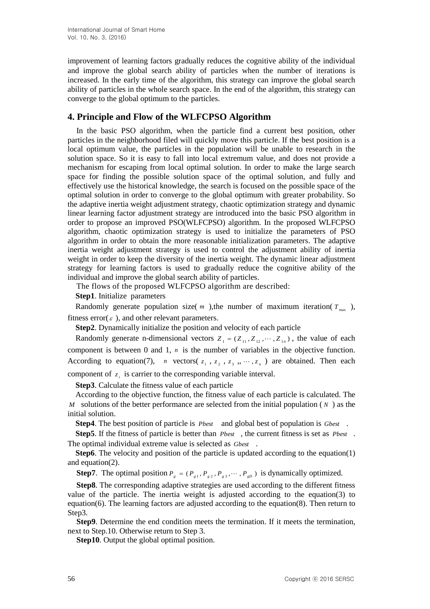improvement of learning factors gradually reduces the cognitive ability of the individual and improve the global search ability of particles when the number of iterations is increased. In the early time of the algorithm, this strategy can improve the global search ability of particles in the whole search space. In the end of the algorithm, this strategy can converge to the global optimum to the particles.

## **4. Principle and Flow of the WLFCPSO Algorithm**

In the basic PSO algorithm, when the particle find a current best position, other particles in the neighborhood filed will quickly move this particle. If the best position is a local optimum value, the particles in the population will be unable to research in the solution space. So it is easy to fall into local extremum value, and does not provide a mechanism for escaping from local optimal solution. In order to make the large search space for finding the possible solution space of the optimal solution, and fully and effectively use the historical knowledge, the search is focused on the possible space of the optimal solution in order to converge to the global optimum with greater probability. So the adaptive inertia weight adjustment strategy, chaotic optimization strategy and dynamic linear learning factor adjustment strategy are introduced into the basic PSO algorithm in order to propose an improved PSO(WLFCPSO) algorithm. In the proposed WLFCPSO algorithm, chaotic optimization strategy is used to initialize the parameters of PSO algorithm in order to obtain the more reasonable initialization parameters. The adaptive inertia weight adjustment strategy is used to control the adjustment ability of inertia weight in order to keep the diversity of the inertia weight. The dynamic linear adjustment strategy for learning factors is used to gradually reduce the cognitive ability of the individual and improve the global search ability of particles.

The flows of the proposed WLFCPSO algorithm are described:

**Step1**. Initialize parameters

Randomly generate population size( $m$ ), the number of maximum iteration( $T_{\text{max}}$ ), fitness error( $\varepsilon$ ), and other relevant parameters.

**Step2**. Dynamically initialize the position and velocity of each particle

Randomly generate n-dimensional vectors  $Z_1 = (Z_{11}, Z_{12}, \dots, Z_{1n})$ , the value of each component is between  $0$  and  $1$ ,  $n$  is the number of variables in the objective function. According to equation(7), *n* vectors( $z_1$ ,  $z_2$ ,  $z_3$ , ...,  $z_n$ ) are obtained. Then each

component of  $z_i$  is carrier to the corresponding variable interval.

**Step3**. Calculate the fitness value of each particle

According to the objective function, the fitness value of each particle is calculated. The *M* solutions of the better performance are selected from the initial population (*N*) as the initial solution.

**Step4**. The best position of particle is *Pbest* and global best of population is *Gbest* .

**Step5**. If the fitness of particle is better than *Pbest* , the current fitness is set as *Pbest* . The optimal individual extreme value is selected as *Gbest* .

**Step6**. The velocity and position of the particle is updated according to the equation(1) and equation(2).

**Step7**. The optimal position  $P_g = (P_{g1}, P_{g2}, P_{g3}, \dots, P_{gD})$  is dynamically optimized.

**Step8**. The corresponding adaptive strategies are used according to the different fitness value of the particle. The inertia weight is adjusted according to the equation(3) to equation(6). The learning factors are adjusted according to the equation(8). Then return to Step<sub>3</sub>.

**Step9**. Determine the end condition meets the termination. If it meets the termination, next to Step.10. Otherwise return to Step 3.

**Step10**. Output the global optimal position.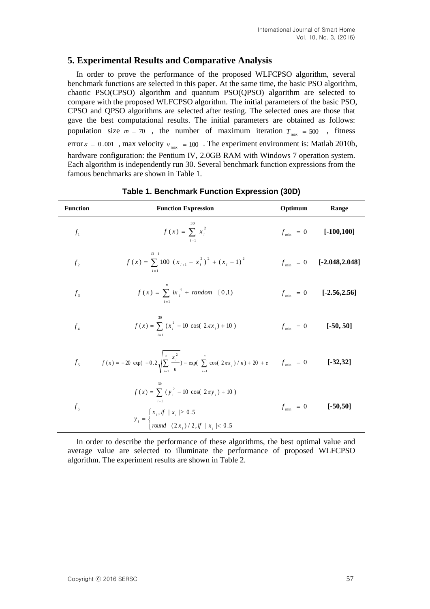## **5. Experimental Results and Comparative Analysis**

In order to prove the performance of the proposed WLFCPSO algorithm, several benchmark functions are selected in this paper. At the same time, the basic PSO algorithm, chaotic PSO(CPSO) algorithm and quantum PSO(QPSO) algorithm are selected to compare with the proposed WLFCPSO algorithm. The initial parameters of the basic PSO, CPSO and QPSO algorithms are selected after testing. The selected ones are those that gave the best computational results. The initial parameters are obtained as follows: population size  $m = 70$ , the number of maximum iteration  $T_{\text{max}} = 500$ , fitness error  $\varepsilon = 0.001$ , max velocity  $v_{\text{max}} = 100$ . The experiment environment is: Matlab 2010b, hardware configuration: the Pentium IV, 2.0GB RAM with Windows 7 operation system. Each algorithm is independently run 30. Several benchmark function expressions from the famous benchmarks are shown in Table 1.

| <b>Function</b> | <b>Function Expression</b>                                                                                                                                                             | Optimum | Range                         |
|-----------------|----------------------------------------------------------------------------------------------------------------------------------------------------------------------------------------|---------|-------------------------------|
| $f_1$           | $f(x) = \sum x_i^2$                                                                                                                                                                    |         | $f_{\min} = 0$ [-100,100]     |
| f <sub>2</sub>  | $D-1$<br>$f(x) = \sum 100 (x_{i+1} - x_i^2)^2 + (x_i - 1)^2$                                                                                                                           |         | $f_{\min} = 0$ [-2.048,2.048] |
| f <sub>3</sub>  | $f(x) = \sum_{i=1}^{n} i x_i^4 + random$ [0,1)                                                                                                                                         |         | $f_{\min} = 0$ [-2.56,2.56]   |
| $f_{\rm A}$     | $f(x) = \sum_{i} (x_i^2 - 10 \cos(2\pi x_i) + 10)$                                                                                                                                     |         | $f_{\min} = 0$ [-50, 50]      |
|                 | $f_5$ $f(x) = -20 \exp(-0.2 \sqrt{\sum_{i=1}^{n} \frac{x_i^2}{n}}) - \exp(\sum_{i=1}^{n} \cos(2\pi x_i)/n) + 20 + e$ $f_{\min} = 0$                                                    |         | $[-32, 32]$                   |
| $f_{6}$         | $f(x) = \sum_{i=1}^{\infty} (y_i^2 - 10 \cos(2\pi y_i) + 10)$<br>$i=1$<br>$y_i = \begin{cases} x_i, if \mid x_i \ge 0.5 \\ round \quad (2x_i) / 2, if \mid x_i \mid < 0.5 \end{cases}$ |         | $f_{\min} = 0$ [-50,50]       |

### **Table 1. Benchmark Function Expression (30D)**

In order to describe the performance of these algorithms, the best optimal value and average value are selected to illuminate the performance of proposed WLFCPSO algorithm. The experiment results are shown in Table 2.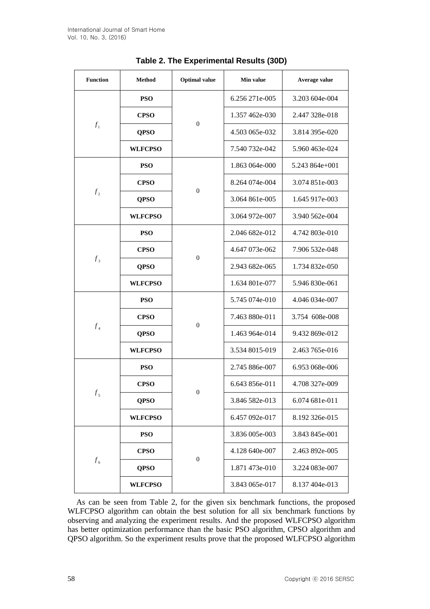| <b>Function</b>             | <b>Method</b>  | <b>Optimal</b> value | Min value      | Average value  |
|-----------------------------|----------------|----------------------|----------------|----------------|
|                             | <b>PSO</b>     | $\boldsymbol{0}$     | 6.256 271e-005 | 3.203 604e-004 |
|                             | <b>CPSO</b>    |                      | 1.357 462e-030 | 2.447 328e-018 |
| $f_1$                       | <b>QPSO</b>    |                      | 4.503 065e-032 | 3.814 395e-020 |
|                             | <b>WLFCPSO</b> |                      | 7.540 732e-042 | 5.960 463e-024 |
|                             | <b>PSO</b>     | $\overline{0}$       | 1.863 064e-000 | 5.243 864e+001 |
|                             | <b>CPSO</b>    |                      | 8.264 074e-004 | 3.074 851e-003 |
| f <sub>2</sub>              | <b>QPSO</b>    |                      | 3.064 861e-005 | 1.645 917e-003 |
|                             | <b>WLFCPSO</b> |                      | 3.064 972e-007 | 3.940 562e-004 |
|                             | <b>PSO</b>     | $\boldsymbol{0}$     | 2.046 682e-012 | 4.742 803e-010 |
|                             | <b>CPSO</b>    |                      | 4.647 073e-062 | 7.906 532e-048 |
| $f_3$                       | <b>QPSO</b>    |                      | 2.943 682e-065 | 1.734 832e-050 |
|                             | <b>WLFCPSO</b> |                      | 1.634 801e-077 | 5.946 830e-061 |
|                             | <b>PSO</b>     | $\boldsymbol{0}$     | 5.745 074e-010 | 4.046 034e-007 |
|                             | <b>CPSO</b>    |                      | 7.463 880e-011 | 3.754 608e-008 |
| $f_4$                       | <b>QPSO</b>    |                      | 1.463 964e-014 | 9.432 869e-012 |
|                             | <b>WLFCPSO</b> |                      | 3.534 8015-019 | 2.463 765e-016 |
|                             | <b>PSO</b>     | $\boldsymbol{0}$     | 2.745 886e-007 | 6.953 068e-006 |
|                             | <b>CPSO</b>    |                      | 6.643 856e-011 | 4.708 327e-009 |
| $f_{\scriptscriptstyle{5}}$ | <b>QPSO</b>    |                      | 3.846 582e-013 | 6.074 681e-011 |
|                             | <b>WLFCPSO</b> |                      | 6.457 092e-017 | 8.192 326e-015 |
|                             | <b>PSO</b>     | $\boldsymbol{0}$     | 3.836 005e-003 | 3.843 845e-001 |
|                             | <b>CPSO</b>    |                      | 4.128 640e-007 | 2.463 892e-005 |
| $f_{\rm 6}$                 | <b>QPSO</b>    |                      | 1.871 473e-010 | 3.224 083e-007 |
|                             | <b>WLFCPSO</b> |                      | 3.843 065e-017 | 8.137 404e-013 |

|  | Table 2. The Experimental Results (30D) |  |
|--|-----------------------------------------|--|
|--|-----------------------------------------|--|

As can be seen from Table 2, for the given six benchmark functions, the proposed WLFCPSO algorithm can obtain the best solution for all six benchmark functions by observing and analyzing the experiment results. And the proposed WLFCPSO algorithm has better optimization performance than the basic PSO algorithm, CPSO algorithm and QPSO algorithm. So the experiment results prove that the proposed WLFCPSO algorithm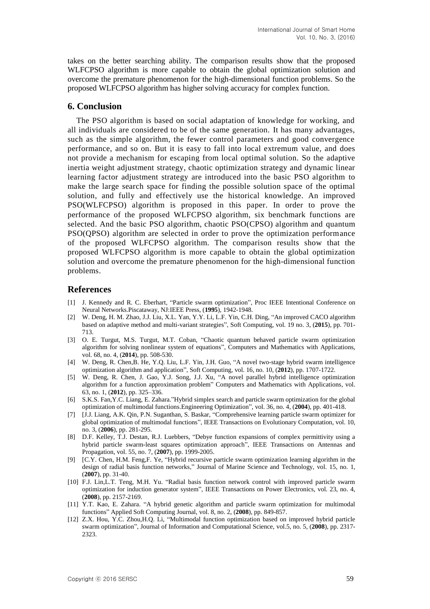takes on the better searching ability. The comparison results show that the proposed WLFCPSO algorithm is more capable to obtain the global optimization solution and overcome the premature phenomenon for the high-dimensional function problems. So the proposed WLFCPSO algorithm has higher solving accuracy for complex function.

## **6. Conclusion**

The PSO algorithm is based on social adaptation of knowledge for working, and all individuals are considered to be of the same generation. It has many advantages, such as the simple algorithm, the fewer control parameters and good convergence performance, and so on. But it is easy to fall into local extremum value, and does not provide a mechanism for escaping from local optimal solution. So the adaptive inertia weight adjustment strategy, chaotic optimization strategy and dynamic linear learning factor adjustment strategy are introduced into the basic PSO algorithm to make the large search space for finding the possible solution space of the optimal solution, and fully and effectively use the historical knowledge. An improved PSO(WLFCPSO) algorithm is proposed in this paper. In order to prove the performance of the proposed WLFCPSO algorithm, six benchmark functions are selected. And the basic PSO algorithm, chaotic PSO(CPSO) algorithm and quantum PSO(QPSO) algorithm are selected in order to prove the optimization performance of the proposed WLFCPSO algorithm. The comparison results show that the proposed WLFCPSO algorithm is more capable to obtain the global optimization solution and overcome the premature phenomenon for the high-dimensional function problems.

### **References**

- [1] J. Kennedy and R. C. Eberhart, "Particle swarm optimization", Proc IEEE Intentional Conference on Neural Networks.Piscataway, NJ:IEEE Press, (**1995**), 1942-1948.
- [2] W. Deng, H. M. Zhao, J.J. Liu, X.L. Yan, Y.Y. Li, L.F. Yin, C.H. Ding, "An improved CACO algorithm based on adaptive method and multi-variant strategies", Soft Computing, vol. 19 no. 3, (**2015**), pp. 701- 713.
- [3] O. E. Turgut, M.S. Turgut, M.T. Coban, "Chaotic quantum behaved particle swarm optimization algorithm for solving nonlinear system of equations", Computers and Mathematics with Applications, vol. 68, no. 4, (**2014**), pp. 508-530.
- [4] W. Deng, R. Chen,B. He, Y.Q. Liu, L.F. Yin, J.H. Guo, "A novel two-stage hybrid swarm intelligence optimization algorithm and application", Soft Computing, vol. 16, no. 10, (**2012**), pp. 1707-1722.
- [5] W. Deng, R. Chen, J. Gao, Y.J. Song, J.J. Xu, "A novel parallel hybrid intelligence optimization algorithm for a function approximation problem" Computers and Mathematics with Applications, vol. 63, no. 1, (**2012**), pp. 325–336.
- [6] S.K.S. Fan,Y.C. Liang, E. Zahara."Hybrid simplex search and particle swarm optimization for the global optimization of multimodal functions.Engineering Optimization", vol. 36, no. 4, (**2004**), pp. 401-418.
- [7] [J.J. Liang, A.K. Qin, P.N. Suganthan, S. Baskar, "Comprehensive learning particle swarm optimizer for global optimization of multimodal functions", IEEE Transactions on Evolutionary Computation, vol. 10, no. 3, (**2006**), pp. 281-295.
- [8] D.F. Kelley, T.J. Destan, R.J. Luebbers, "Debye function expansions of complex permittivity using a hybrid particle swarm-least squares optimization approach", IEEE Transactions on Antennas and Propagation, vol. 55, no. 7, (**2007**), pp. 1999-2005.
- [9] [C.Y. Chen, H.M. Feng,F. Ye, "Hybrid recursive particle swarm optimization learning algorithm in the design of radial basis function networks," Journal of Marine Science and Technology, vol. 15, no. 1, (**2007**), pp. 31-40.
- [10] F.J. Lin,L.T. Teng, M.H. Yu. "Radial basis function network control with improved particle swarm optimization for induction generator system", IEEE Transactions on Power Electronics, vol. 23, no. 4, (**2008**), pp. 2157-2169.
- [11] Y.T. Kao, E. Zahara. "A hybrid genetic algorithm and particle swarm optimization for multimodal functions" Applied Soft Computing Journal, vol. 8, no. 2, (**2008**), pp. 849-857.
- [12] Z.X. Hou, Y.C. Zhou,H.Q. Li, "Multimodal function optimization based on improved hybrid particle swarm optimization", Journal of Information and Computational Science, vol.5, no. 5, (**2008**), pp. 2317- 2323.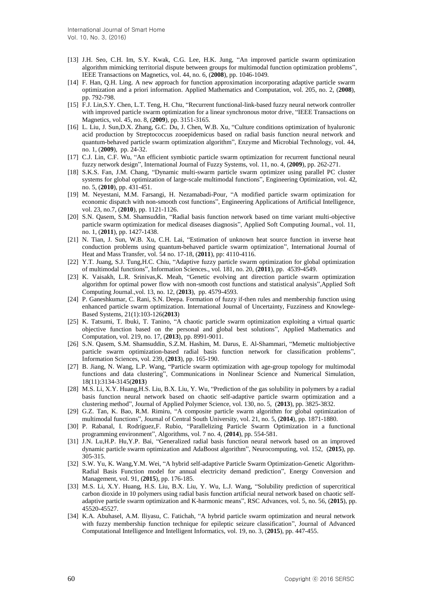- [13] J.H. Seo, C.H. Im, S.Y. Kwak, C.G. Lee, H.K. Jung, "An improved particle swarm optimization algorithm mimicking territorial dispute between groups for multimodal function optimization problems", IEEE Transactions on Magnetics, vol. 44, no. 6, (**2008**), pp. 1046-1049.
- [14] F. Han, Q.H. Ling. A new approach for function approximation incorporating adaptive particle swarm optimization and a priori information. Applied Mathematics and Computation, vol. 205, no. 2, (**2008**), pp. 792-798.
- [15] F.J. Lin,S.Y. Chen, L.T. Teng, H. Chu, "Recurrent functional-link-based fuzzy neural network controller with improved particle swarm optimization for a linear synchronous motor drive, "IEEE Transactions on Magnetics, vol. 45, no. 8, (**2009**), pp. 3151-3165.
- [16] L. Liu, J. Sun,D.X. Zhang, G.C. Du, J. Chen, W.B. Xu, "Culture conditions optimization of hyaluronic acid production by Streptococcus zooepidemicus based on radial basis function neural network and quantum-behaved particle swarm optimization algorithm", Enzyme and Microbial Technology, vol. 44, no. 1, (**2009**), pp. 24-32.
- [17] C.J. Lin, C.F. Wu, "An efficient symbiotic particle swarm optimization for recurrent functional neural fuzzy network design", International Journal of Fuzzy Systems, vol. 11, no. 4, (**2009**), pp. 262-271.
- [18] S.K.S. Fan, J.M. Chang, "Dynamic multi-swarm particle swarm optimizer using parallel PC cluster systems for global optimization of large-scale multimodal functions", Engineering Optimization, vol. 42, no. 5, (**2010**), pp. 431-451.
- [19] M. Neyestani, M.M. Farsangi, H. Nezamabadi-Pour, "A modified particle swarm optimization for economic dispatch with non-smooth cost functions", Engineering Applications of Artificial Intelligence, vol. 23, no.7, (**2010**), pp. 1121-1126.
- [20] S.N. Qasem, S.M. Shamsuddin, "Radial basis function network based on time variant multi-objective particle swarm optimization for medical diseases diagnosis", Applied Soft Computing Journal., vol. 11, no. 1, (**2011**), pp. 1427-1438.
- [21] N. Tian, J. Sun, W.B. Xu, C.H. Lai, "Estimation of unknown heat source function in inverse heat conduction problems using quantum-behaved particle swarm optimization", International Journal of Heat and Mass Transfer, vol. 54 no. 17-18, (**2011**), pp: 4110-4116.
- [22] Y.T. Juang, S.J. Tung,H.C. Chiu, "Adaptive fuzzy particle swarm optimization for global optimization of multimodal functions", Information Sciences., vol. 181, no. 20, (**2011**), pp. 4539-4549.
- [23] K. Vaisakh, L.R. Srinivas,K. Meah, "Genetic evolving ant direction particle swarm optimization algorithm for optimal power flow with non-smooth cost functions and statistical analysis",Applied Soft Computing Journal.,vol. 13, no. 12, (**2013**), pp. 4579-4593.
- [24] P. Ganeshkumar, C. Rani, S.N. Deepa. Formation of fuzzy if-then rules and membership function using enhanced particle swarm optimization. International Journal of Uncertainty, Fuzziness and Knowlege-Based Systems, 21(1):103-126(**2013**)
- [25] K. Tatsumi, T. Ibuki, T. Tanino, "A chaotic particle swarm optimization exploiting a virtual quartic objective function based on the personal and global best solutions", Applied Mathematics and Computation, vol. 219, no. 17, (**2013**), pp. 8991-9011.
- [26] S.N. Qasem, S.M. Shamsuddin, S.Z.M. Hashim, M. Darus, E. Al-Shammari, "Memetic multiobjective particle swarm optimization-based radial basis function network for classification problems", Information Sciences, vol. 239, (**2013**), pp. 165-190.
- [27] B. Jiang, N. Wang, L.P. Wang, "Particle swarm optimization with age-group topology for multimodal functions and data clustering", Communications in Nonlinear Science and Numerical Simulation, 18(11):3134-3145(**2013**)
- [28] M.S. Li, X.Y. Huang,H.S. Liu, B.X. Liu, Y. Wu, "Prediction of the gas solubility in polymers by a radial basis function neural network based on chaotic self-adaptive particle swarm optimization and a clustering method", Journal of Applied Polymer Science, vol. 130, no. 5, (**2013**), pp. 3825-3832.
- [29] G.Z. Tan, K. Bao, R.M. Rimiru, "A composite particle swarm algorithm for global optimization of multimodal functions", Journal of Central South University, vol. 21, no. 5, (**2014**), pp. 1871-1880.
- [30] P. Rabanal, I. Rodríguez,F. Rubio, "Parallelizing Particle Swarm Optimization in a functional programming environment", Algorithms, vol. 7 no. 4, (**2014**), pp. 554-581.
- [31] J.N. Lu,H.P. Hu,Y.P. Bai, "Generalized radial basis function neural network based on an improved dynamic particle swarm optimization and AdaBoost algorithm", Neurocomputing, vol. 152, (**2015**), pp. 305-315.
- [32] S.W. Yu, K. Wang,Y.M. Wei, "A hybrid self-adaptive Particle Swarm Optimization-Genetic Algorithm-Radial Basis Function model for annual electricity demand prediction", Energy Conversion and Management, vol. 91, (**2015**), pp. 176-185.
- [33] M.S. Li, X.Y. Huang, H.S. Liu, B.X. Liu, Y. Wu, L.J. Wang, "Solubility prediction of supercritical carbon dioxide in 10 polymers using radial basis function artificial neural network based on chaotic selfadaptive particle swarm optimization and K-harmonic means", RSC Advances, vol. 5, no. 56, (**2015**), pp. 45520-45527.
- [34] K.A. Abuhasel, A.M. Iliyasu, C. Fatichah, "A hybrid particle swarm optimization and neural network with fuzzy membership function technique for epileptic seizure classification", Journal of Advanced Computational Intelligence and Intelligent Informatics, vol. 19, no. 3, (**2015**), pp. 447-455.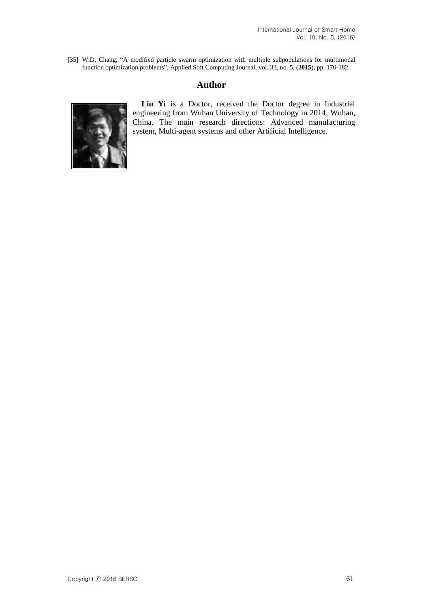[35] W.D. Chang, "A modified particle swarm optimization with multiple subpopulations for multimodal function optimization problems", Applied Soft Computing Journal, vol. 33, no. 5, (**2015**), pp. 170-182.

## **Author**



**Liu Yi** is a Doctor, received the Doctor degree in Industrial engineering from Wuhan University of Technology in 2014, Wuhan, China. The main research directions: Advanced manufacturing system, Multi-agent systems and other Artificial Intelligence.